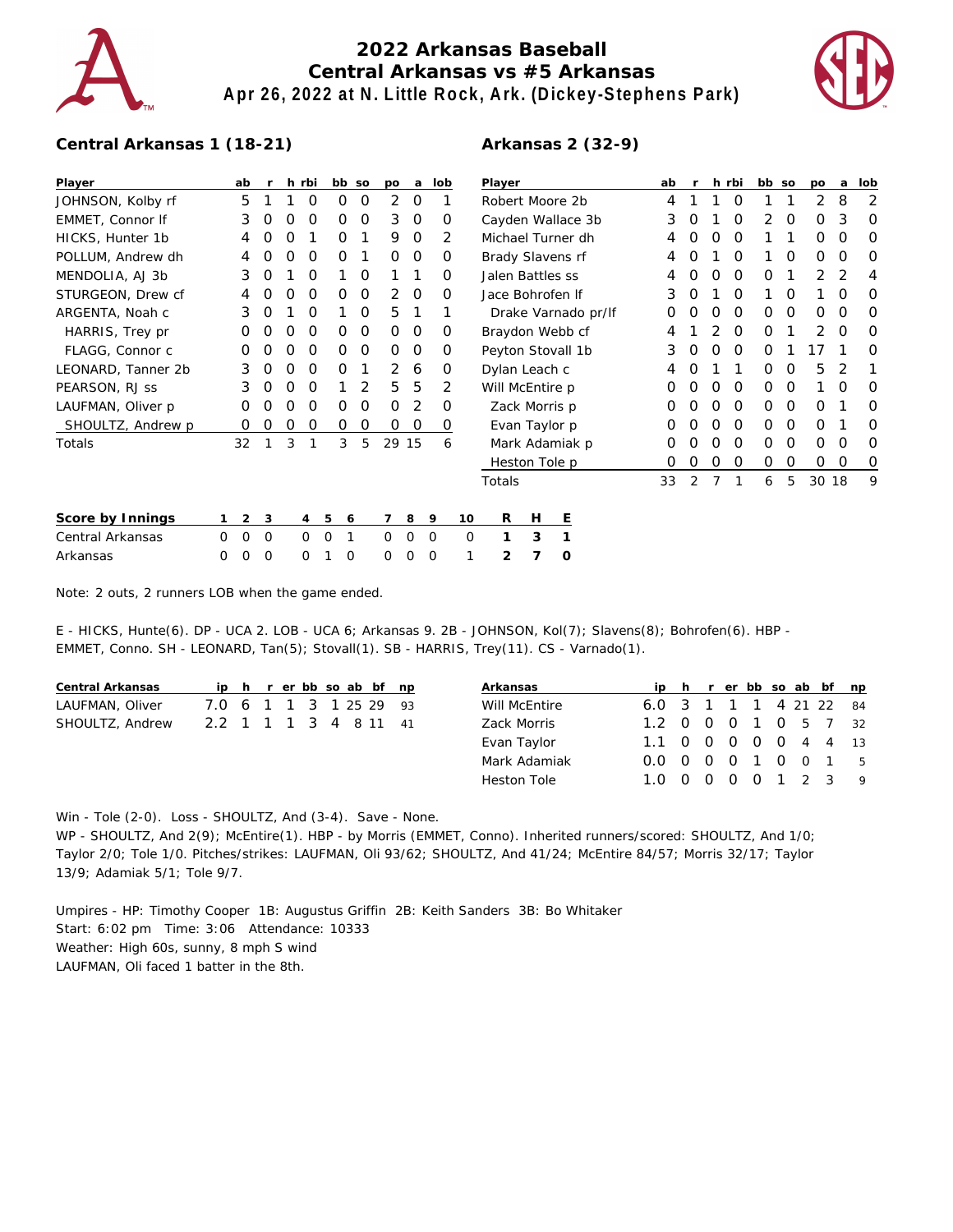

## **2022 Arkansas Baseball Central Arkansas vs #5 Arkansas Apr 26, 2022 at N. Little Rock, Ark. (Dickey-Stephens Park)**



## **Central Arkansas 1 (18-21)**

| Player             |   | ab          | r           | h                | rbi            |             | bb so | po       | a        | lob      |    | Player            |   |                |                     | ab |   |   | h rbi    | bb so    |          | po    | a | lob |
|--------------------|---|-------------|-------------|------------------|----------------|-------------|-------|----------|----------|----------|----|-------------------|---|----------------|---------------------|----|---|---|----------|----------|----------|-------|---|-----|
| JOHNSON, Kolby rf  |   | 5           |             |                  | 0              | 0           | 0     | 2        | 0        |          |    | Robert Moore 2b   | 4 |                |                     | 0  |   |   | 2        | 8        | 2        |       |   |     |
| EMMET, Connor If   |   | 3           | O           |                  | O              | 0           | 0     | 3        | $\Omega$ | 0        |    | Cayden Wallace 3b |   |                |                     | 3  |   |   | 0        | 2        | 0        | O     | 3 | 0   |
| HICKS, Hunter 1b   |   | 4           |             |                  |                | Ο           |       | 9        | $\Omega$ |          | 2  | Michael Turner dh |   |                |                     | 4  |   |   | O        |          |          | O     | O | O   |
| POLLUM, Andrew dh  |   | 4           |             |                  | $\Omega$       | Ο           |       | $\Omega$ | $\Omega$ | O        |    | Brady Slavens rf  |   |                |                     | 4  |   |   | $\Omega$ |          | O        | O     | O | O   |
| MENDOLIA, AJ 3b    |   | 3           | O           |                  | O              |             | 0     |          |          | O        |    | Jalen Battles ss  |   |                |                     | 4  |   | Ω | $\Omega$ | 0        |          | 2     | 2 | 4   |
| STURGEON, Drew cf  |   | 4           | O           | $\left($         | O              | 0           | 0     | 2        | 0        | $\Omega$ |    | Jace Bohrofen If  |   |                |                     | 3  | O |   | $\Omega$ |          | 0        |       | O | O   |
| ARGENTA, Noah c    |   | 3           | O           |                  | O              |             | O     | 5        |          |          |    |                   |   |                | Drake Varnado pr/lf | 0  |   | Ο | $\Omega$ | 0        | 0        | O     | O | O   |
| HARRIS, Trey pr    |   | O           | $\left($ )  | $\left( \right)$ | O              | 0           | 0     | $\Omega$ | $\Omega$ | $\Omega$ |    | Braydon Webb cf   |   |                |                     | 4  |   |   | $\Omega$ | 0        |          | 2     | O | O   |
| FLAGG, Connor c    |   | O           |             |                  | O              | 0           | O     | $\Omega$ | 0        | O        |    | Peyton Stovall 1b |   |                |                     | 3  |   | Ο | $\Omega$ | O        |          |       |   | O   |
| LEONARD, Tanner 2b |   | 3           | O           | $\left($         | $\Omega$       | 0           |       | 2        | 6        | $\Omega$ |    | Dylan Leach c     |   |                |                     | 4  | O |   |          | 0        | 0        | 5     | 2 |     |
| PEARSON, RJ SS     |   | 3           | O           | $\left($         | O              |             | 2     | 5.       | 5        | 2        |    | Will McEntire p   |   |                |                     | O  | O | O | $\Omega$ | O        | 0        |       | O | O   |
| LAUFMAN, Oliver p  |   | 0           | $\Omega$    |                  | O              | Ο           | 0     | $\Omega$ | 2        | 0        |    |                   |   | Zack Morris p  |                     | O  |   | Ο | $\Omega$ | O        | 0        | O     |   | O   |
| SHOULTZ, Andrew p  |   | O           | O           | O                | O              | Ο           | 0     | $\Omega$ | 0        | 0        |    |                   |   | Evan Taylor p  |                     |    |   |   | $\Omega$ | $\Omega$ | $\Omega$ | Ο     |   | O   |
| Totals             |   | 32          |             | 3                |                | 3           | 5     |          | 29 15    |          | 6  |                   |   | Mark Adamiak p |                     |    |   | Ω | $\Omega$ | $\Omega$ | $\Omega$ | O     | O | O   |
|                    |   |             |             |                  |                |             |       |          |          |          |    |                   |   | Heston Tole p  |                     | 0  | O | 0 | $\Omega$ | 0        | 0        | 0     | 0 | 0   |
|                    |   |             |             |                  |                |             |       |          |          |          |    | Totals            |   |                |                     | 33 | 2 |   |          | 6        | 5        | 30 18 |   | 9   |
| Score by Innings   |   | 2           | 3           |                  | $\overline{4}$ | 5           | 6     |          | 8        | 9        | 10 | R                 | Н | Е              |                     |    |   |   |          |          |          |       |   |     |
| Central Arkansas   | 0 | $\mathbf 0$ | $\mathbf 0$ |                  | $\mathbf 0$    | $\mathbf 0$ |       | 0        | 0        | $\circ$  | 0  |                   | 3 | 1              |                     |    |   |   |          |          |          |       |   |     |
| Arkansas           | 0 | $\Omega$    | $\Omega$    |                  | 0              |             | 0     | 0        | 0        | 0        |    | 2                 | 7 | 0              |                     |    |   |   |          |          |          |       |   |     |

Note: 2 outs, 2 runners LOB when the game ended.

E - HICKS, Hunte(6). DP - UCA 2. LOB - UCA 6; Arkansas 9. 2B - JOHNSON, Kol(7); Slavens(8); Bohrofen(6). HBP - EMMET, Conno. SH - LEONARD, Tan(5); Stovall(1). SB - HARRIS, Trey(11). CS - Varnado(1).

| Central Arkansas |                        |  |  |  | ip h r er bb so ab bf np | Arkansas      |                        |  |  |  | ip h r er bb so ab bf np |
|------------------|------------------------|--|--|--|--------------------------|---------------|------------------------|--|--|--|--------------------------|
| LAUFMAN, Oliver  | 7.0 6 1 1 3 1 25 29 93 |  |  |  |                          | Will McEntire | 6.0 3 1 1 1 4 21 22 84 |  |  |  |                          |
| SHOULTZ, Andrew  | 2.2 1 1 1 3 4 8 11 41  |  |  |  |                          | Zack Morris   | 1.2 0 0 0 1 0 5 7 32   |  |  |  |                          |
|                  |                        |  |  |  |                          | Evan Taylor   | 1.1 0 0 0 0 0 4 4 13   |  |  |  |                          |
|                  |                        |  |  |  |                          | Mark Adamiak  | 0.0 0 0 0 1 0 0 1 5    |  |  |  |                          |
|                  |                        |  |  |  |                          | Heston Tole   | 1.0 0 0 0 0 1 2 3 9    |  |  |  |                          |

Win - Tole (2-0). Loss - SHOULTZ, And (3-4). Save - None.

WP - SHOULTZ, And 2(9); McEntire(1). HBP - by Morris (EMMET, Conno). Inherited runners/scored: SHOULTZ, And 1/0; Taylor 2/0; Tole 1/0. Pitches/strikes: LAUFMAN, Oli 93/62; SHOULTZ, And 41/24; McEntire 84/57; Morris 32/17; Taylor 13/9; Adamiak 5/1; Tole 9/7.

Umpires - HP: Timothy Cooper 1B: Augustus Griffin 2B: Keith Sanders 3B: Bo Whitaker Start: 6:02 pm Time: 3:06 Attendance: 10333 Weather: High 60s, sunny, 8 mph S wind LAUFMAN, Oli faced 1 batter in the 8th.

## **Arkansas 2 (32-9)**